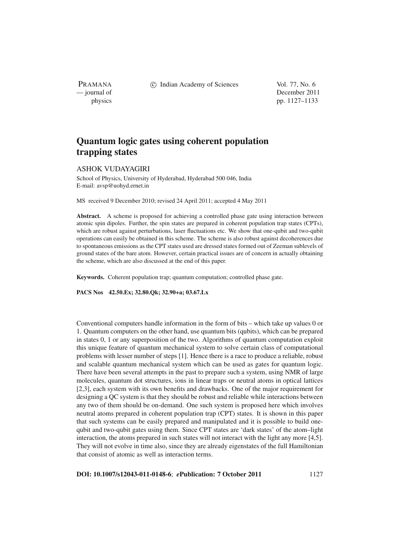PRAMANA

c Indian Academy of Sciences Vol. 77, No. 6

— journal of December 2011 physics pp. 1127–1133

# **Quantum logic gates using coherent population trapping states**

# ASHOK VUDAYAGIRI

School of Physics, University of Hyderabad, Hyderabad 500 046, India E-mail: avsp@uohyd.ernet.in

MS received 9 December 2010; revised 24 April 2011; accepted 4 May 2011

Abstract. A scheme is proposed for achieving a controlled phase gate using interaction between atomic spin dipoles. Further, the spin states are prepared in coherent population trap states (CPTs), which are robust against perturbations, laser fluctuations etc. We show that one-qubit and two-qubit operations can easily be obtained in this scheme. The scheme is also robust against decoherences due to spontaneous emissions as the CPT states used are dressed states formed out of Zeeman sublevels of ground states of the bare atom. However, certain practical issues are of concern in actually obtaining the scheme, which are also discussed at the end of this paper.

**Keywords.** Coherent population trap; quantum computation; controlled phase gate.

**PACS Nos 42.50.Ex; 32.80.Qk; 32.90+a; 03.67.Lx**

Conventional computers handle information in the form of bits – which take up values 0 or 1. Quantum computers on the other hand, use quantum bits (qubits), which can be prepared in states 0, 1 or any superposition of the two. Algorithms of quantum computation exploit this unique feature of quantum mechanical system to solve certain class of computational problems with lesser number of steps [1]. Hence there is a race to produce a reliable, robust and scalable quantum mechanical system which can be used as gates for quantum logic. There have been several attempts in the past to prepare such a system, using NMR of large molecules, quantum dot structures, ions in linear traps or neutral atoms in optical lattices [2,3], each system with its own benefits and drawbacks. One of the major requirement for designing a QC system is that they should be robust and reliable while interactions between any two of them should be on-demand. One such system is proposed here which involves neutral atoms prepared in coherent population trap (CPT) states. It is shown in this paper that such systems can be easily prepared and manipulated and it is possible to build onequbit and two-qubit gates using them. Since CPT states are 'dark states' of the atom–light interaction, the atoms prepared in such states will not interact with the light any more [4,5]. They will not evolve in time also, since they are already eigenstates of the full Hamiltonian that consist of atomic as well as interaction terms.

**DOI: 10.1007/s12043-011-0148-6**; *e***Publication: 7 October 2011** 1127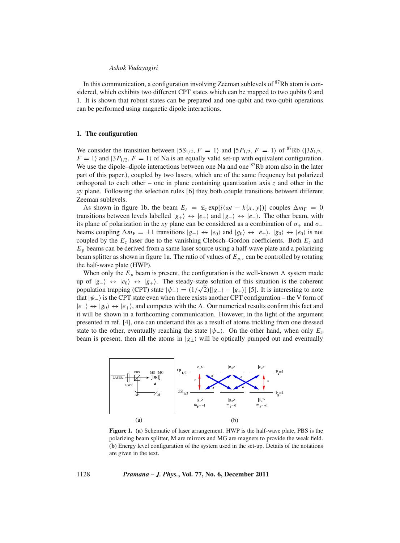#### *Ashok Vudayagiri*

In this communication, a configuration involving Zeeman sublevels of  ${}^{87}Rb$  atom is considered, which exhibits two different CPT states which can be mapped to two qubits 0 and 1. It is shown that robust states can be prepared and one-qubit and two-qubit operations can be performed using magnetic dipole interactions.

## **1. The configuration**

We consider the transition between  $|5S_{1/2}, F = 1\rangle$  and  $|5P_{1/2}, F = 1\rangle$  of <sup>87</sup>Rb ( $|3S_{1/2},$  $F = 1$  and  $|3P_{1/2}, F = 1\rangle$  of Na is an equally valid set-up with equivalent configuration. We use the dipole–dipole interactions between one Na and one  ${}^{87}Rb$  atom also in the later part of this paper.), coupled by two lasers, which are of the same frequency but polarized orthogonal to each other – one in plane containing quantization axis  $\zeta$  and other in the *xy* plane. Following the selection rules [6] they both couple transitions between different Zeeman sublevels.

As shown in figure 1b, the beam  $E_z = \mathcal{E}_z \exp[i(\omega t - k\{x, y\})]$  couples  $\Delta m_F = 0$ transitions between levels labelled  $|g_+\rangle \leftrightarrow |e_+\rangle$  and  $|g_-\rangle \leftrightarrow |e_-\rangle$ . The other beam, with its plane of polarization in the *xy* plane can be considered as a combination of  $\sigma_+$  and  $\sigma_$ beams coupling  $\Delta m_F = \pm 1$  transitions  $|g_{\pm}\rangle \leftrightarrow |e_0\rangle$  and  $|g_0\rangle \leftrightarrow |e_{\pm}\rangle$ .  $|g_0\rangle \leftrightarrow |e_0\rangle$  is not coupled by the  $E_z$  laser due to the vanishing Clebsch–Gordon coefficients. Both  $E_z$  and  $E_p$  beams can be derived from a same laser source using a half-wave plate and a polarizing beam splitter as shown in figure 1a. The ratio of values of  $E_{p,z}$  can be controlled by rotating the half-wave plate (HWP).

When only the  $E_p$  beam is present, the configuration is the well-known  $\Lambda$  system made up of  $|g_-\rangle$  ⇔  $|e_0\rangle$  ⇔  $|g_+\rangle$ . The steady-state solution of this situation is the coherent up or  $|g_-\rangle \leftrightarrow |e_0\rangle \leftrightarrow |g_+\rangle$ . The steady-state solution or this situation is the conerent population trapping (CPT) state  $|\psi_-\rangle = (1/\sqrt{2})[|g_-\rangle - |g_+\rangle]$  [5]. It is interesting to note that  $|\psi_-\rangle$  is the CPT state even when there exists another CPT configuration – the V form of  $|e_{-}\rangle$  ⇔  $|g_{0}\rangle$  ⇔  $|e_{+}\rangle$ , and competes with the  $\Lambda$ . Our numerical results confirm this fact and it will be shown in a forthcoming communication. However, in the light of the argument presented in ref. [4], one can undertand this as a result of atoms trickling from one dressed state to the other, eventually reaching the state  $|\psi_{-}\rangle$ . On the other hand, when only  $E_z$ beam is present, then all the atoms in  $|g_{\pm}\rangle$  will be optically pumped out and eventually



**Figure 1.** (**a**) Schematic of laser arrangement. HWP is the half-wave plate, PBS is the polarizing beam splitter, M are mirrors and MG are magnets to provide the weak field. (**b**) Energy level configuration of the system used in the set-up. Details of the notations are given in the text.

1128 *Pramana – J. Phys.***, Vol. 77, No. 6, December 2011**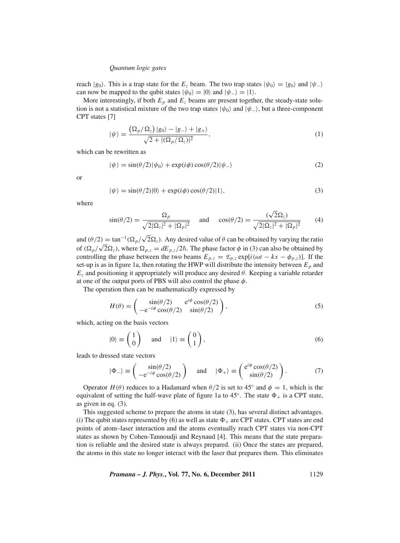#### *Quantum logic gates*

reach  $|g_0\rangle$ . This is a trap state for the  $E_z$  beam. The two trap states  $|\psi_0\rangle = |g_0\rangle$  and  $|\psi_-\rangle$ can now be mapped to the qubit states  $|\psi_0\rangle = |0\rangle$  and  $|\psi_-\rangle = |1\rangle$ .

More interestingly, if both  $E_p$  and  $E_z$  beams are present together, the steady-state solution is not a statistical mixture of the two trap states  $|\psi_0\rangle$  and  $|\psi_-\rangle$ , but a three-component CPT states [7]

$$
|\psi\rangle = \frac{\left(\Omega_p/\Omega_z\right)|g_0\rangle - |g_-\rangle + |g_+\rangle}{\sqrt{2 + |(\Omega_p/\Omega_z)|^2}},\tag{1}
$$

which can be rewritten as

$$
|\psi\rangle = \sin(\theta/2)|\psi_0\rangle + \exp(i\phi)\cos(\theta/2)|\psi_-\rangle
$$
 (2)

or

$$
|\psi\rangle = \sin(\theta/2)|0\rangle + \exp(i\phi)\cos(\theta/2)|1\rangle,
$$
\n(3)

where

$$
\sin(\theta/2) = \frac{\Omega_p}{\sqrt{2|\Omega_z|^2 + |\Omega_p|^2}} \quad \text{and} \quad \cos(\theta/2) = \frac{(\sqrt{2}\Omega_z)}{\sqrt{2|\Omega_z|^2 + |\Omega_p|^2}} \tag{4}
$$

and  $(\theta/2) = \tan^{-1}(\Omega_p/\sqrt{2}\Omega_z)$ . Any desired value of  $\theta$  can be obtained by varying the ratio of  $(\Omega_p/\sqrt{2\Omega_z})$ , where  $\Omega_{p,z} = dE_{p,z}/2\hbar$ . The phase factor  $\phi$  in (3) can also be obtained by  $\sqrt{2\Omega_z}$ , where  $\Omega_{p,z} = dE_{p,z}/2\hbar$ . The phase factor  $\phi$  in (3) can also be obtained by controlling the phase between the two beams  $E_{p,z} = \mathcal{E}_{p,z} \exp[i(\omega t - kx - \phi_{p,z})]$ . If the set-up is as in figure 1a, then rotating the HWP will distribute the intensity between  $E_p$  and  $E_z$  and positioning it appropriately will produce any desired  $\theta$ . Keeping a variable retarder at one of the output ports of PBS will also control the phase  $\phi$ .

The operation then can be mathematically expressed by

$$
H(\theta) = \begin{pmatrix} \sin(\theta/2) & e^{i\phi}\cos(\theta/2) \\ -e^{-i\phi}\cos(\theta/2) & \sin(\theta/2) \end{pmatrix},
$$
\n(5)

which, acting on the basis vectors

$$
|0\rangle \equiv \begin{pmatrix} 1 \\ 0 \end{pmatrix} \quad \text{and} \quad |1\rangle \equiv \begin{pmatrix} 0 \\ 1 \end{pmatrix}, \tag{6}
$$

leads to dressed state vectors

$$
|\Phi_{-}\rangle \equiv \begin{pmatrix} \sin(\theta/2) \\ -e^{-i\phi}\cos(\theta/2) \end{pmatrix} \quad \text{and} \quad |\Phi_{+}\rangle \equiv \begin{pmatrix} e^{i\phi}\cos(\theta/2) \\ \sin(\theta/2) \end{pmatrix}.
$$
 (7)

Operator  $H(\theta)$  reduces to a Hadamard when  $\theta/2$  is set to 45° and  $\phi = 1$ , which is the equivalent of setting the half-wave plate of figure 1a to  $45^\circ$ . The state  $\Phi_+$  is a CPT state, as given in eq. (3).

This suggested scheme to prepare the atoms in state (3), has several distinct advantages. (i) The qubit states represented by (6) as well as state  $\Phi_+$  are CPT states. CPT states are end points of atom–laser interaction and the atoms eventually reach CPT states via non-CPT states as shown by Cohen-Tannoudji and Reynaud [4]. This means that the state preparation is reliable and the desired state is always prepared. (ii) Once the states are prepared, the atoms in this state no longer interact with the laser that prepares them. This eliminates

*Pramana – J. Phys.***, Vol. 77, No. 6, December 2011** 1129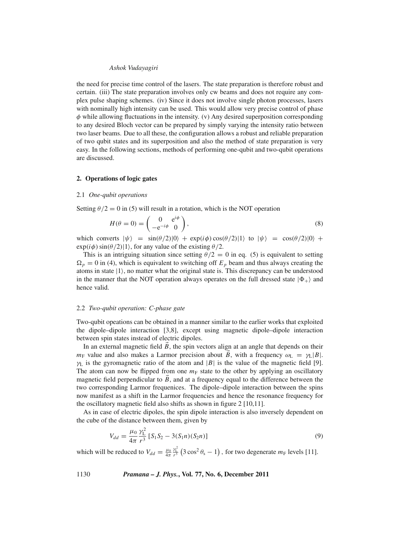#### *Ashok Vudayagiri*

the need for precise time control of the lasers. The state preparation is therefore robust and certain. (iii) The state preparation involves only cw beams and does not require any complex pulse shaping schemes. (iv) Since it does not involve single photon processes, lasers with nominally high intensity can be used. This would allow very precise control of phase  $\phi$  while allowing fluctuations in the intensity. (v) Any desired superposition corresponding to any desired Bloch vector can be prepared by simply varying the intensity ratio between two laser beams. Due to all these, the configuration allows a robust and reliable preparation of two qubit states and its superposition and also the method of state preparation is very easy. In the following sections, methods of performing one-qubit and two-qubit operations are discussed.

## **2. Operations of logic gates**

#### 2.1 *One-qubit operations*

Setting  $\theta/2 = 0$  in (5) will result in a rotation, which is the NOT operation

$$
H(\theta = 0) = \begin{pmatrix} 0 & e^{i\phi} \\ -e^{-i\phi} & 0 \end{pmatrix},
$$
\n(8)

which converts  $|\psi\rangle = \sin(\theta/2)|0\rangle + \exp(i\phi)\cos(\theta/2)|1\rangle$  to  $|\psi\rangle = \cos(\theta/2)|0\rangle +$  $\exp(i\phi)\sin(\theta/2)|1\rangle$ , for any value of the existing  $\theta/2$ .

This is an intriguing situation since setting  $\theta/2 = 0$  in eq. (5) is equivalent to setting  $\Omega_p = 0$  in (4), which is equivalent to switching off  $E_p$  beam and thus always creating the atoms in state  $|1\rangle$ , no matter what the original state is. This discrepancy can be understood in the manner that the NOT operation always operates on the full dressed state  $|\Phi_+\rangle$  and hence valid.

## 2.2 *Two-qubit operation: C-phase gate*

Two-qubit opeations can be obtained in a manner similar to the earlier works that exploited the dipole–dipole interaction [3,8], except using magnetic dipole–dipole interaction between spin states instead of electric dipoles.

In an external magnetic field  $\vec{B}$ , the spin vectors align at an angle that depends on their *m*<sub>F</sub> value and also makes a Larmor precision about *B*, with a frequency  $\omega_L = \gamma_L |B|$ .  $\gamma_L$  is the gyromagnetic ratio of the atom and  $|B|$  is the value of the magnetic field [9]. The atom can now be flipped from one  $m_F$  state to the other by applying an oscillatory magnetic field perpendicular to  $\vec{B}$ , and at a frequency equal to the difference between the two corresponding Larmor frequenices. The dipole–dipole interaction between the spins now manifest as a shift in the Larmor frequencies and hence the resonance frequency for the oscillatory magnetic field also shifts as shown in figure 2 [10,11].

As in case of electric dipoles, the spin dipole interaction is also inversely dependent on the cube of the distance between them, given by

$$
V_{dd} = \frac{\mu_0}{4\pi} \frac{\gamma_L^2}{r^3} \left[ S_1 S_2 - 3(S_1 n)(S_2 n) \right]
$$
\n(9)

which will be reduced to  $V_{dd} = \frac{\mu_0}{4\pi}$  $\frac{\gamma_L^2}{r^3}$  (3 cos<sup>2</sup>  $\theta_s$  – 1), for two degenerate  $m_F$  levels [11].

1130 *Pramana – J. Phys.***, Vol. 77, No. 6, December 2011**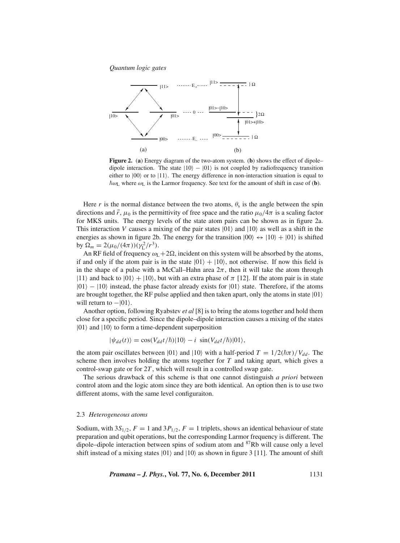*Quantum logic gates*



**Figure 2.** (**a**) Energy diagram of the two-atom system. (**b**) shows the effect of dipole– dipole interaction. The state  $|10\rangle - |01\rangle$  is not coupled by radiofrequency transition either to  $|00\rangle$  or to  $|11\rangle$ . The energy difference in non-interaction situation is equal to  $\hbar \omega$ <sub>L</sub> where  $\omega$ <sub>L</sub> is the Larmor frequency. See text for the amount of shift in case of (**b**).

Here *r* is the normal distance between the two atoms,  $\theta_s$  is the angle between the spin directions and  $\vec{r}$ ,  $\mu_0$  is the permittivity of free space and the ratio  $\mu_0/4\pi$  is a scaling factor for MKS units. The energy levels of the state atom pairs can be shown as in figure 2a. This interaction *V* causes a mixing of the pair states  $|01\rangle$  and  $|10\rangle$  as well as a shift in the energies as shown in figure 2b. The energy for the transition  $|00\rangle \leftrightarrow |10\rangle + |01\rangle$  is shifted by  $\Omega_m = 2(\mu_0/(4\pi))(\gamma_{\rm L}^2/r^3)$ .

An RF field of frequency  $\omega_L+2\Omega$ , incident on this system will be absorbed by the atoms, if and only if the atom pair is in the state  $|01\rangle + |10\rangle$ , not otherwise. If now this field is in the shape of a pulse with a McCall–Hahn area  $2\pi$ , then it will take the atom through |11) and back to  $|01\rangle + |10\rangle$ , but with an extra phase of  $\pi$  [12]. If the atom pair is in state  $|01\rangle - |10\rangle$  instead, the phase factor already exists for  $|01\rangle$  state. Therefore, if the atoms are brought together, the RF pulse applied and then taken apart, only the atoms in state  $|01\rangle$ will return to  $-|01\rangle$ .

Another option, following Ryabstev *et al* [8] is to bring the atoms together and hold them close for a specific period. Since the dipole–dipole interaction causes a mixing of the states  $|01\rangle$  and  $|10\rangle$  to form a time-dependent superposition

$$
|\psi_{dd}(t)\rangle = \cos(V_{dd}t/\hbar)|10\rangle - i \sin(V_{dd}t/\hbar)|01\rangle,
$$

the atom pair oscillates between  $|01\rangle$  and  $|10\rangle$  with a half-period  $T = 1/2(\hbar \pi)/V_{dd}$ . The scheme then involves holding the atoms together for *T* and taking apart, which gives a control-swap gate or for 2*T* , which will result in a controlled swap gate.

The serious drawback of this scheme is that one cannot distinguish *a priori* between control atom and the logic atom since they are both identical. An option then is to use two different atoms, with the same level configuraiton.

#### 2.3 *Heterogeneous atoms*

Sodium, with  $3S_{1/2}$ ,  $F = 1$  and  $3P_{1/2}$ ,  $F = 1$  triplets, shows an identical behaviour of state preparation and qubit operations, but the corresponding Larmor frequency is different. The dipole–dipole interaction between spins of sodium atom and 87Rb will cause only a level shift instead of a mixing states  $|01\rangle$  and  $|10\rangle$  as shown in figure 3 [11]. The amount of shift

*Pramana – J. Phys.***, Vol. 77, No. 6, December 2011** 1131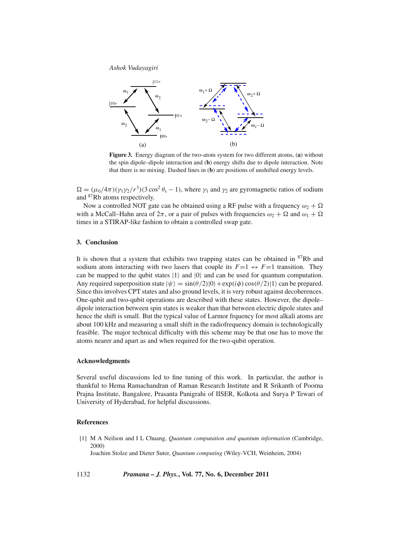*Ashok Vudayagiri*



**Figure 3.** Energy diagram of the two-atom system for two different atoms, (**a**) without the spin dipole–dipole interaction and (**b**) energy shifts due to dipole interaction. Note that there is no mixing. Dashed lines in (**b**) are positions of unshifted energy levels.

 $\Omega = (\mu_0/4\pi)(\gamma_1\gamma_2/r^3)(3\cos^2\theta_s - 1)$ , where  $\gamma_1$  and  $\gamma_2$  are gyromagnetic ratios of sodium and 87Rb atoms respectively.

Now a controlled NOT gate can be obtained using a RF pulse with a frequency  $\omega_2 + \Omega$ with a McCall–Hahn area of  $2\pi$ , or a pair of pulses with frequencies  $\omega_2 + \Omega$  and  $\omega_1 + \Omega$ times in a STIRAP-like fashion to obtain a controlled swap gate.

## **3. Conclusion**

It is shown that a system that exhibits two trapping states can be obtained in 87Rb and sodium atom interacting with two lasers that couple its  $F=1 \leftrightarrow F=1$  transition. They can be mapped to the qubit states  $|1\rangle$  and  $|0\rangle$  and can be used for quantum computation. Any required superposition state  $|\psi\rangle = \sin(\theta/2)|0\rangle + \exp(i\phi)\cos(\theta/2)|1\rangle$  can be prepared. Since this involves CPT states and also ground levels, it is very robust against decoherences. One-qubit and two-qubit operations are described with these states. However, the dipole– dipole interaction between spin states is weaker than that between electric dipole states and hence the shift is small. But the typical value of Larmor frquency for most alkali atoms are about 100 kHz and measuring a small shift in the radiofrequency domain is technologically feasible. The major technical difficulty with this scheme may be that one has to move the atoms nearer and apart as and when required for the two-qubit operation.

## **Acknowledgments**

Several useful discussions led to fine tuning of this work. In particular, the author is thankful to Hema Ramachandran of Raman Research Institute and R Srikanth of Poorna Prajna Institute, Bangalore, Prasanta Panigrahi of IISER, Kolkota and Surya P Tewari of University of Hyderabad, for helpful discussions.

# **References**

[1] M A Neilson and I L Chuang, *Quantum computation and quantum information* (Cambridge, 2000)

Joachim Stolze and Dieter Suter, *Quantum computing* (Wiley-VCH, Weinheim, 2004)

1132 *Pramana – J. Phys.***, Vol. 77, No. 6, December 2011**